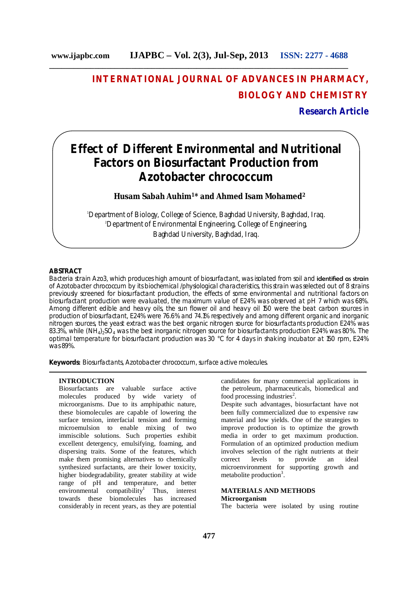## **INTERNATIONAL JOURNAL OF ADVANCES IN PHARMACY, BIOLOGY AND CHEMISTRY**

## **Research Article**

# **Effect of Different Environmental and Nutritional Factors on Biosurfactant Production from** *Azotobacter chrococcum*

**Husam Sabah Auhim<sup>1</sup>\* and Ahmed Isam Mohamed<sup>2</sup>**

<sup>1</sup>Department of Biology, College of Science, Baghdad University, Baghdad, Iraq. <sup>2</sup>Department of Environmental Engineering, College of Engineering, Baghdad University, Baghdad, Iraq.

## **ABSTRACT**

Bacteria strain Azo3, which produces high amount of biosurfactant, was isolated from soil and identified as strain of *Azotobacter chrococcum* by its biochemical /physiological characteristics, this strain was selected out of 8 strains previously screened for biosurfactant production, the effects of some environmental and nutritional factors on biosurfactant production were evaluated, the maximum value of E24% was observed at pH 7 which was 68%. Among different edible and heavy oils, the sun flower oil and heavy oil 150 were the beat carbon sources in production of biosurfactant, E24% were 76.6% and 74.1% respectively and among different organic and inorganic nitrogen sources, the yeast extract was the best organic nitrogen source for biosurfactants production E24% was 83.3%, while  $(NH_4)_{2}SO_4$  was the best inorganic nitrogen source for biosurfactants production E24% was 80%. The optimal temperature for biosurfactant production was 30 °C for 4 days in shaking incubator at 150 rpm, E24% was 89%.

**Keywords:** Biosurfactants, Azotobacter chrococcum, surface active molecules.

## **INTRODUCTION**

Biosurfactants are valuable surface active molecules produced by wide variety of microorganisms. Due to its amphipathic nature, these biomolecules are capable of lowering the surface tension, interfacial tension and forming microemulsion to enable mixing of two immiscible solutions. Such properties exhibit excellent detergency, emulsifying, foaming, and dispersing traits. Some of the features, which make them promising alternatives to chemically synthesized surfactants, are their lower toxicity, higher biodegradability, greater stability at wide range of pH and temperature, and better environmental compatibility<sup>1</sup> Thus, interest towards these biomolecules has increased considerably in recent years, as they are potential

candidates for many commercial applications in the petroleum, pharmaceuticals, biomedical and food processing industries<sup>2</sup>.

Despite such advantages, biosurfactant have not been fully commercialized due to expensive raw material and low yields. One of the strategies to improve production is to optimize the growth media in order to get maximum production. Formulation of an optimized production medium involves selection of the right nutrients at their<br>correct levels to provide an ideal correct levels to provide an ideal microenvironment for supporting growth and metabolite production<sup>3</sup>.

#### **MATERIALS AND METHODS Microorganism**

The bacteria were isolated by using routine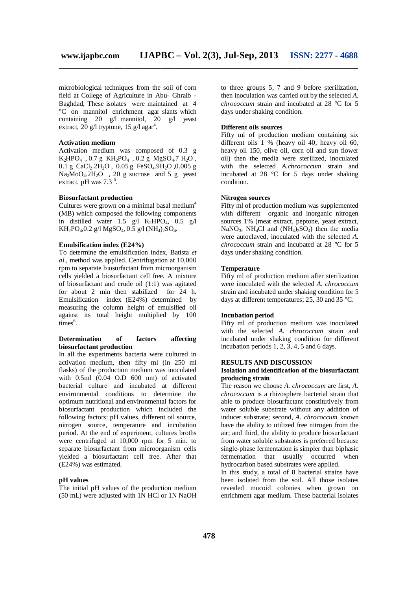microbiological techniques from the soil of corn field at College of Agriculture in Abu- Ghraib - Baghdad, These isolates were maintained at 4 °C on mannitol enrichment agar slants which containing 20 g/l mannitol, 20 g/l yeast extract, 20 g/l tryptone, 15 g/l agar<sup>4</sup>.

## **Activation medium**

Activation medium was composed of 0.3 g  $K_2HPO_4$ , 0.7 g  $KH_2PO_4$ , 0.2 g  $MgSO_4$ .7  $H_2O$ , 0.1 g CaCl<sub>2</sub>.2H<sub>2</sub>O, 0.05 g FeSO<sub>4</sub>.9H<sub>2</sub>O, 0.005 g  $Na<sub>2</sub>MoO<sub>4</sub>.2H<sub>2</sub>O$ , 20 g sucrose and 5 g yeast extract. pH was  $7.3<sup>5</sup>$ .

#### **Biosurfactant production**

Cultures were grown on a minimal basal medium<sup>4</sup> (MB) which composed the following components in distilled water 1.5 g/l  $K_2HPO_4$ , 0.5 g/l  $KH_2PO_4, 0.2$  g/l MgSO<sub>4</sub>, 0.5 g/l (NH<sub>4</sub>)<sub>2</sub>SO<sub>4</sub>.

## **Emulsification index (E24%)**

To determine the emulsification index, Batista *et al.*, method was applied. Centrifugation at 10,000 rpm to separate biosurfactant from microorganism cells yielded a biosurfactant cell free. A mixture of biosurfactant and crude oil (1:1) was agitated for about 2 min then stabilized for 24 h. Emulsification index (E24%) determined by measuring the column height of emulsified oil against its total height multiplied by 100  $times<sup>6</sup>$ .

## **Determination of factors affecting biosurfactant production**

In all the experiments bacteria were cultured in activation medium, then fifty ml (in 250 ml flasks) of the production medium was inoculated with 0.5ml (0.04 O.D 600 nm) of activated bacterial culture and incubated at different environmental conditions to determine the optimum nutritional and environmental factors for biosurfactant production which included the following factors: pH values, different oil source, nitrogen source, temperature and incubation period. At the end of experiment, cultures broths were centrifuged at 10,000 rpm for 5 min. to separate biosurfactant from microorganism cells yielded a biosurfactant cell free. After that (E24%) was estimated.

## **pH values**

The initial pH values of the production medium (50 mL) were adjusted with 1N HCl or 1N NaOH to three groups 5, 7 and 9 before sterilization, then inoculation was carried out by the selected *A. chrococcum* strain and incubated at 28 °C for 5 days under shaking condition.

#### **Different oils sources**

Fifty ml of production medium containing six different oils 1 % (heavy oil 40, heavy oil 60, heavy oil 150, olive oil, corn oil and sun flower oil) then the media were sterilized, inoculated with the selected *A.chrococcum* strain and incubated at 28 °C for 5 days under shaking condition.

## **Nitrogen sources**

Fifty ml of production medium was supplemented with different organic and inorganic nitrogen sources 1% (meat extract, peptone, yeast extract, NaNO<sub>3</sub>, NH<sub>4</sub>Cl and  $(NH_4)_2SO_4$  then the media were autoclaved, inoculated with the selected *A. chrococcum* strain and incubated at 28 °C for 5 days under shaking condition.

## **Temperature**

Fifty ml of production medium after sterilization were inoculated with the selected *A. chrococcum* strain and incubated under shaking condition for 5 days at different temperatures; 25, 30 and 35 °C.

#### **Incubation period**

Fifty ml of production medium was inoculated with the selected *A. chrococcum* strain and incubated under shaking condition for different incubation periods  $1, 2, 3, 4, 5$  and 6 days.

#### **RESULTS AND DISCUSSION**

### **Isolation and identification of the biosurfactant producing strain**

The reason we choose *A. chrococcum* are first, *A. chrococcum* is a rhizosphere bacterial strain that able to produce biosurfactant constitutively from water soluble substrate without any addition of inducer substrate; second, *A. chrococcum* known have the ability to utilized free nitrogen from the air; and third, the ability to produce biosurfactant from water soluble substrates is preferred because single-phase fermentation is simpler than biphasic fermentation that usually occurred when hydrocarbon based substrates were applied.

In this study, a total of 8 bacterial strains have been isolated from the soil. All those isolates revealed mucoid colonies when grown on enrichment agar medium. These bacterial isolates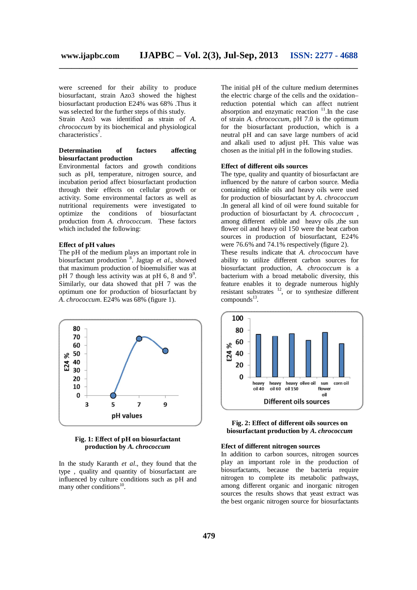were screened for their ability to produce biosurfactant, strain Azo3 showed the highest biosurfactant production E24% was 68% .Thus it was selected for the further steps of this study.

Strain Azo3 was identified as strain of *A. chrococcum* by its biochemical and physiological characteristics<sup>7</sup>.

## **Determination of factors affecting biosurfactant production**

Environmental factors and growth conditions such as pH, temperature, nitrogen source, and incubation period affect biosurfactant production through their effects on cellular growth or activity. Some environmental factors as well as nutritional requirements were investigated to optimize the conditions of biosurfactant production from *A. chrococcum*. These factors which included the following:

#### **Effect of pH values**

The pH of the medium plays an important role in biosurfactant production <sup>8</sup> . Jagtap *et al*., showed that maximum production of bioemulsifier was at pH 7 though less activity was at pH 6, 8 and  $9^9$ . Similarly, our data showed that pH 7 was the optimum one for production of biosurfactant by *A. chrococcum*. E24% was 68% (figure 1).



**Fig. 1: Effect of pH on biosurfactant production by** *A. chrococcum*

In the study Karanth *et al*., they found that the type , quality and quantity of biosurfactant are influenced by culture conditions such as pH and many other conditions<sup>10</sup>.

The initial pH of the culture medium determines the electric charge of the cells and the oxidation– reduction potential which can affect nutrient absorption and enzymatic reaction  $11$ . In the case of strain *A. chrococcum*, pH 7.0 is the optimum for the biosurfactant production, which is a neutral pH and can save large numbers of acid and alkali used to adjust pH. This value was chosen as the initial pH in the following studies.

## **Effect of different oils sources**

The type, quality and quantity of biosurfactant are influenced by the nature of carbon source. Media containing edible oils and heavy oils were used for production of biosurfactant by *A. chrococcum* .In general all kind of oil were found suitable for production of biosurfactant by *A. chrococcum* , among different edible and heavy oils ,the sun flower oil and heavy oil 150 were the beat carbon sources in production of biosurfactant, E24% were 76.6% and 74.1% respectively (figure 2).

These results indicate that *A. chrococcum* have ability to utilize different carbon sources for biosurfactant production, *A. chrococcum* is a bacterium with a broad metabolic diversity, this feature enables it to degrade numerous highly resistant substrates  $12$ , or to synthesize different compounds<sup>13</sup>.



## **Fig. 2: Effect of different oils sources on biosurfactant production by** *A. chrococcum*

#### **Efect of different nitrogen sources**

In addition to carbon sources, nitrogen sources play an important role in the production of biosurfactants, because the bacteria require nitrogen to complete its metabolic pathways, among different organic and inorganic nitrogen sources the results shows that yeast extract was the best organic nitrogen source for biosurfactants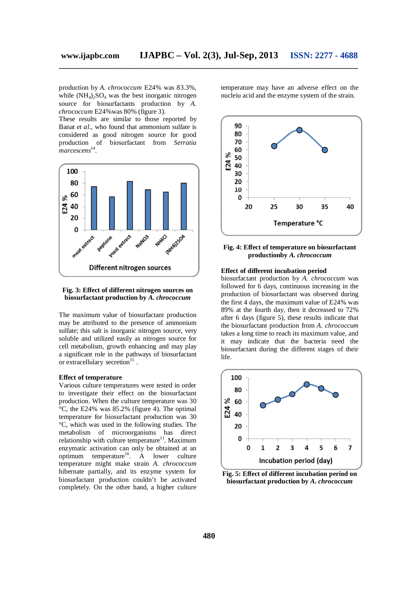production by *A. chrococcum* E24% was 83.3%, while  $(NH_4)_2SO_4$  was the best inorganic nitrogen source for biosurfactants production by *A. chrococcum* E24%was 80% (figure 3).

These results are similar to those reported by Banat *et al*., who found that ammonium sulfate is considered as good nitrogen source for good production of biosurfactant from *Serratia*  <sup>-</sup>marcescens<sup>14</sup>.



## **Fig. 3: Effect of different nitrogen sources on biosurfactant production by** *A. chrococcum*

The maximum value of biosurfactant production may be attributed to the presence of ammonium sulfate; this salt is inorganic nitrogen source, very soluble and utilized easily as nitrogen source for cell metabolism, growth enhancing and may play a significant role in the pathways of biosurfactant or extracellulary secretion<sup>15</sup>.

## **Effect of temperature**

Various culture temperatures were tested in order to investigate their effect on the biosurfactant production. When the culture temperature was 30 °C, the E24% was 85.2% (figure 4). The optimal temperature for biosurfactant production was 30 °C, which was used in the following studies. The metabolism of microorganisms has direct relationship with culture temperature<sup>11</sup>. Maximum enzymatic activation can only be obtained at an optimum temperature<sup>16</sup>. A lower culture temperature might make strain *A. chrococcum* hibernate partially, and its enzyme system for biosurfactant production couldn't be activated completely. On the other hand, a higher culture

temperature may have an adverse effect on the nucleiu acid and the enzyme system of the strain.



## **Fig. 4: Effect of temperature on biosurfactant productionby** *A. chrococcum*

#### **Effect of different incubation period**

biosurfactant production by *A. chrococcum* was followed for 6 days, continuous increasing in the production of biosurfactant was observed during the first 4 days, the maximum value of E24% was 89% at the fourth day, then it decreased to 72% after 6 days (figure 5), these results indicate that the biosurfactant production from *A. chrococcum*  takes a long time to reach its maximum value, and it may indicate that the bacteria need the biosurfactant during the different stages of their life.



**Fig. 5: Effect of different incubation period on biosurfactant production by** *A. chrococcum*